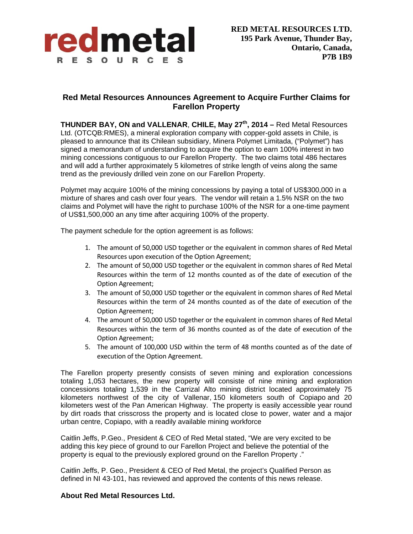

## **Red Metal Resources Announces Agreement to Acquire Further Claims for Farellon Property**

**THUNDER BAY, ON and VALLENAR**, **CHILE, May 27th, 2014 –** Red Metal Resources Ltd. (OTCQB:RMES), a mineral exploration company with copper-gold assets in Chile, is pleased to announce that its Chilean subsidiary, Minera Polymet Limitada, ("Polymet") has signed a memorandum of understanding to acquire the option to earn 100% interest in two mining concessions contiguous to our Farellon Property. The two claims total 486 hectares and will add a further approximately 5 kilometres of strike length of veins along the same trend as the previously drilled vein zone on our Farellon Property.

Polymet may acquire 100% of the mining concessions by paying a total of US\$300,000 in a mixture of shares and cash over four years. The vendor will retain a 1.5% NSR on the two claims and Polymet will have the right to purchase 100% of the NSR for a one-time payment of US\$1,500,000 an any time after acquiring 100% of the property.

The payment schedule for the option agreement is as follows:

- 1. The amount of 50,000 USD together or the equivalent in common shares of Red Metal Resources upon execution of the Option Agreement;
- 2. The amount of 50,000 USD together or the equivalent in common shares of Red Metal Resources within the term of 12 months counted as of the date of execution of the Option Agreement;
- 3. The amount of 50,000 USD together or the equivalent in common shares of Red Metal Resources within the term of 24 months counted as of the date of execution of the Option Agreement;
- 4. The amount of 50,000 USD together or the equivalent in common shares of Red Metal Resources within the term of 36 months counted as of the date of execution of the Option Agreement;
- 5. The amount of 100,000 USD within the term of 48 months counted as of the date of execution of the Option Agreement.

The Farellon property presently consists of seven mining and exploration concessions totaling 1,053 hectares, the new property will consiste of nine mining and exploration concessions totaling 1,539 in the Carrizal Alto mining district located approximately 75 kilometers northwest of the city of Vallenar, 150 kilometers south of Copiapo and 20 kilometers west of the Pan American Highway. The property is easily accessible year round by dirt roads that crisscross the property and is located close to power, water and a major urban centre, Copiapo, with a readily available mining workforce

Caitlin Jeffs, P.Geo., President & CEO of Red Metal stated, "We are very excited to be adding this key piece of ground to our Farellon Project and believe the potential of the property is equal to the previously explored ground on the Farellon Property ."

Caitlin Jeffs, P. Geo., President & CEO of Red Metal, the project's Qualified Person as defined in NI 43-101, has reviewed and approved the contents of this news release.

## **About Red Metal Resources Ltd.**